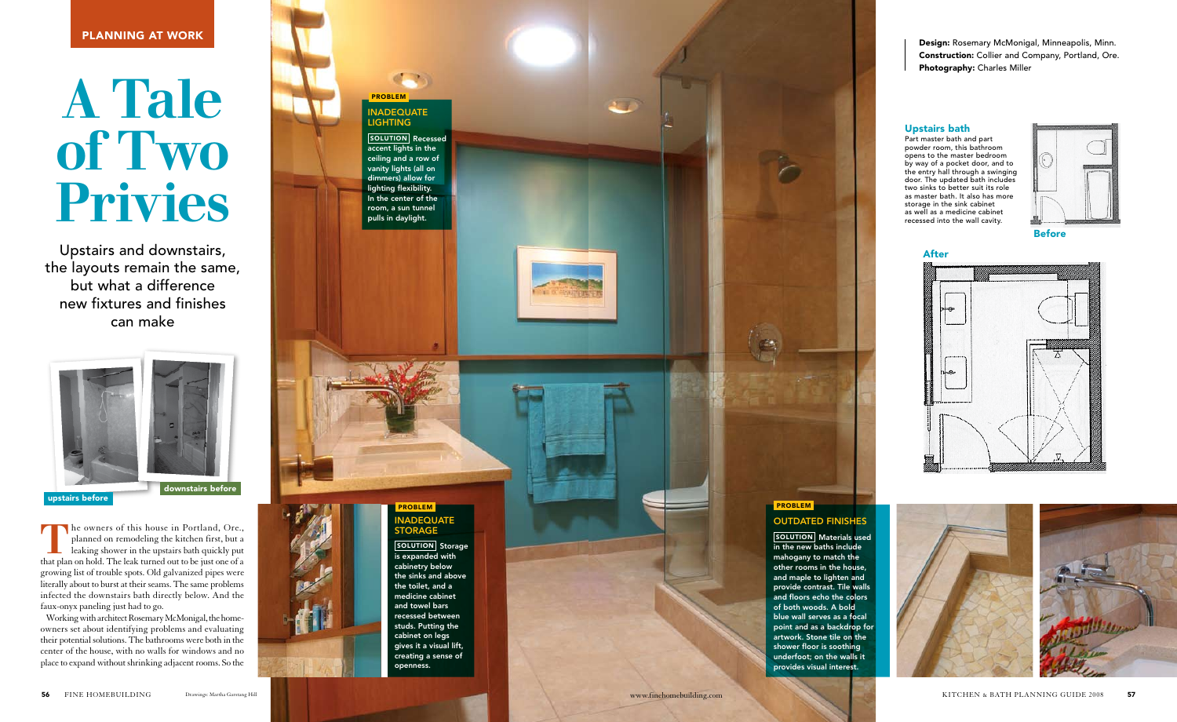The owners of this house in Portland, Ore., planned on remodeling the kitchen first, but a leaking shower in the upstairs bath quickly put that plan on hold. The leak turned out to be just one of a growing list of trouble spots. Old galvanized pipes were literally about to burst at their seams. The same problems infected the downstairs bath directly below. And the faux-onyx paneling just had to go.

Problem **NADEQUATE** 

**LIGHTING** 

Working with architect Rosemary McMonigal, the homeowners set about identifying problems and evaluating their potential solutions. The bathrooms were both in the center of the house, with no walls for windows and no place to expand without shrinking adjacent rooms. So the

SOLUTION Storage openness.

Upstairs and downstairs, the layouts remain the same, but what a difference new fixtures and finishes can make

# A Tale of Two Privies

Design: Rosemary McMonigal, Minneapolis, Minn. Construction: Collier and Company, Portland, Ore. Photography: Charles Miller

SOLUTION | Materials used in the new baths include mahogany to match the other rooms in the house, and maple to lighten and provide contrast. Tile walls and floors echo the colors of both woods. A bold blue wall serves as a focal point and as a backdrop for artwork. Stone tile on the shower floor is soothing underfoot; on the walls it provides visual interest.

Recessed accent lights in the ceiling and a row of vanity lights (all on dimmers) allow for lighting flexibility. In the center of the room, a sun tunnel pulls in daylight. Solution

 $\epsilon$ 



#### Problem **ADEQUATE** storage

is expanded with cabinetry below the sinks and above the toilet, and a medicine cabinet and towel bars recessed between studs. Putting the cabinet on legs gives it a visual lift, creating a sense of

# **PROBLEM OUTDATED FINISHES**

Before













## Upstairs bath

Part master bath and part powder room, this bathroom opens to the master bedroom by way of a pocket door, and to the entry hall through a swinging door. The updated bath includes two sinks to better suit its role as master bath. It also has more storage in the sink cabinet as well as a medicine cabinet recessed into the wall cavity.